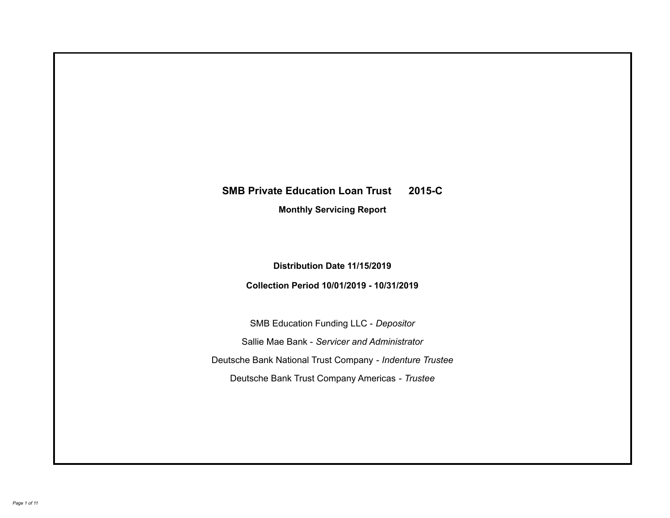# **SMB Private Education Loan Trust 2015-C Monthly Servicing Report**

# **Distribution Date 11/15/2019**

# **Collection Period 10/01/2019 - 10/31/2019**

SMB Education Funding LLC - *Depositor* Sallie Mae Bank - *Servicer and Administrator* Deutsche Bank National Trust Company - *Indenture Trustee* Deutsche Bank Trust Company Americas - *Trustee*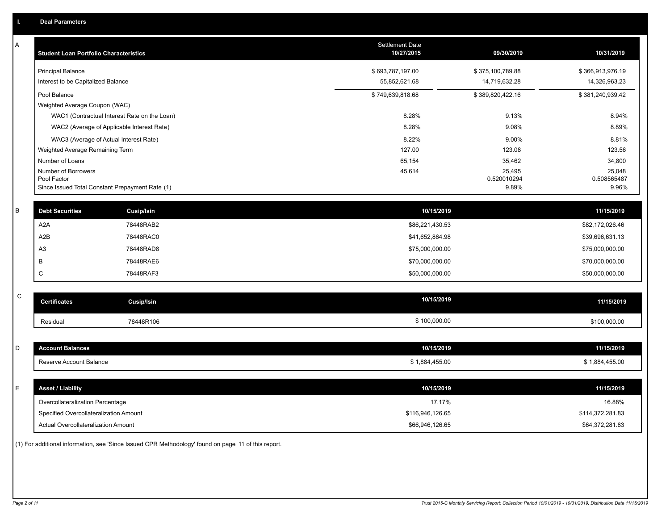| A            | <b>Student Loan Portfolio Characteristics</b>   |                                              | <b>Settlement Date</b><br>10/27/2015 | 09/30/2019            | 10/31/2019            |
|--------------|-------------------------------------------------|----------------------------------------------|--------------------------------------|-----------------------|-----------------------|
|              | <b>Principal Balance</b>                        |                                              | \$693,787,197.00                     | \$375,100,789.88      | \$366,913,976.19      |
|              | Interest to be Capitalized Balance              |                                              | 55,852,621.68                        | 14,719,632.28         | 14,326,963.23         |
|              | Pool Balance                                    |                                              | \$749,639,818.68                     | \$389,820,422.16      | \$381,240,939.42      |
|              | Weighted Average Coupon (WAC)                   |                                              |                                      |                       |                       |
|              |                                                 | WAC1 (Contractual Interest Rate on the Loan) | 8.28%                                | 9.13%                 | 8.94%                 |
|              | WAC2 (Average of Applicable Interest Rate)      |                                              | 8.28%                                | 9.08%                 | 8.89%                 |
|              | WAC3 (Average of Actual Interest Rate)          |                                              | 8.22%                                | 9.00%                 | 8.81%                 |
|              | Weighted Average Remaining Term                 |                                              | 127.00                               | 123.08                | 123.56                |
|              | Number of Loans                                 |                                              | 65,154                               | 35,462                | 34,800                |
|              | Number of Borrowers<br>Pool Factor              |                                              | 45,614                               | 25,495<br>0.520010294 | 25,048<br>0.508565487 |
|              | Since Issued Total Constant Prepayment Rate (1) |                                              |                                      | 9.89%                 | 9.96%                 |
| $\sf B$      | <b>Debt Securities</b>                          | Cusip/Isin                                   | 10/15/2019                           |                       | 11/15/2019            |
|              |                                                 |                                              |                                      |                       |                       |
|              | A <sub>2</sub> A                                | 78448RAB2                                    | \$86,221,430.53                      |                       | \$82,172,026.46       |
|              | A <sub>2</sub> B                                | 78448RAC0                                    | \$41,652,864.98                      |                       | \$39,696,631.13       |
|              | A <sub>3</sub>                                  | 78448RAD8                                    | \$75,000,000.00                      |                       | \$75,000,000.00       |
|              | В                                               | 78448RAE6                                    | \$70,000,000.00                      |                       | \$70,000,000.00       |
|              | C                                               | 78448RAF3                                    | \$50,000,000.00                      |                       | \$50,000,000.00       |
| $\mathsf{C}$ |                                                 |                                              |                                      |                       |                       |
|              | <b>Certificates</b>                             | <b>Cusip/Isin</b>                            | 10/15/2019                           |                       | 11/15/2019            |
|              | Residual                                        | 78448R106                                    | \$100,000.00                         |                       | \$100,000.00          |
|              |                                                 |                                              |                                      |                       |                       |
| D            | <b>Account Balances</b>                         |                                              | 10/15/2019                           |                       | 11/15/2019            |
|              | Reserve Account Balance                         |                                              | \$1,884,455.00                       |                       | \$1,884,455.00        |
|              |                                                 |                                              |                                      |                       |                       |
| E            | <b>Asset / Liability</b>                        |                                              | 10/15/2019                           |                       | 11/15/2019            |
|              | Overcollateralization Percentage                |                                              | 17.17%                               |                       | 16.88%                |
|              | Specified Overcollateralization Amount          |                                              | \$116,946,126.65                     |                       | \$114,372,281.83      |
|              | Actual Overcollateralization Amount             |                                              | \$66,946,126.65                      |                       | \$64,372,281.83       |

(1) For additional information, see 'Since Issued CPR Methodology' found on page 11 of this report.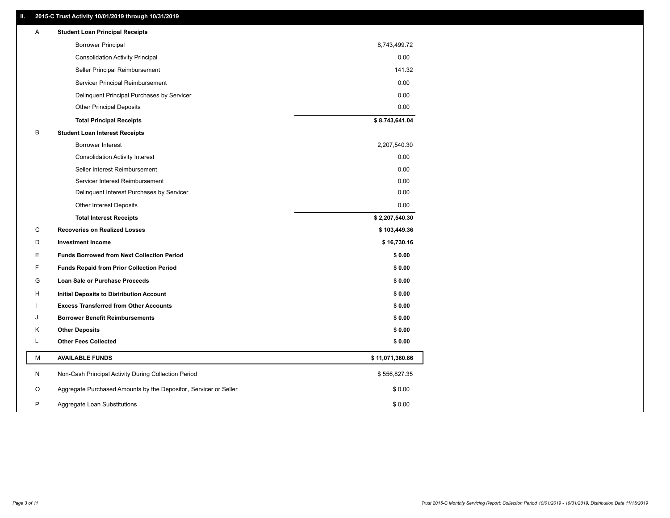### **II. 2015-C Trust Activity 10/01/2019 through 10/31/2019**

| Α | <b>Student Loan Principal Receipts</b>                           |                 |  |
|---|------------------------------------------------------------------|-----------------|--|
|   | <b>Borrower Principal</b>                                        | 8,743,499.72    |  |
|   | <b>Consolidation Activity Principal</b>                          | 0.00            |  |
|   | Seller Principal Reimbursement                                   | 141.32          |  |
|   | Servicer Principal Reimbursement                                 | 0.00            |  |
|   | Delinquent Principal Purchases by Servicer                       | 0.00            |  |
|   | <b>Other Principal Deposits</b>                                  | 0.00            |  |
|   | <b>Total Principal Receipts</b>                                  | \$8,743,641.04  |  |
| В | <b>Student Loan Interest Receipts</b>                            |                 |  |
|   | Borrower Interest                                                | 2,207,540.30    |  |
|   | <b>Consolidation Activity Interest</b>                           | 0.00            |  |
|   | Seller Interest Reimbursement                                    | 0.00            |  |
|   | Servicer Interest Reimbursement                                  | 0.00            |  |
|   | Delinquent Interest Purchases by Servicer                        | 0.00            |  |
|   | Other Interest Deposits                                          | 0.00            |  |
|   | <b>Total Interest Receipts</b>                                   | \$2,207,540.30  |  |
| C | <b>Recoveries on Realized Losses</b>                             | \$103,449.36    |  |
| D | <b>Investment Income</b>                                         | \$16,730.16     |  |
| Е | <b>Funds Borrowed from Next Collection Period</b>                | \$0.00          |  |
| F | <b>Funds Repaid from Prior Collection Period</b>                 | \$0.00          |  |
| G | Loan Sale or Purchase Proceeds                                   | \$0.00          |  |
| н | Initial Deposits to Distribution Account                         | \$0.00          |  |
|   | <b>Excess Transferred from Other Accounts</b>                    | \$0.00          |  |
| J | <b>Borrower Benefit Reimbursements</b>                           | \$0.00          |  |
| Κ | <b>Other Deposits</b>                                            | \$0.00          |  |
| Г | <b>Other Fees Collected</b>                                      | \$0.00          |  |
| М | <b>AVAILABLE FUNDS</b>                                           | \$11,071,360.86 |  |
| N | Non-Cash Principal Activity During Collection Period             | \$556,827.35    |  |
| O | Aggregate Purchased Amounts by the Depositor, Servicer or Seller | \$0.00          |  |
| P | Aggregate Loan Substitutions                                     | \$0.00          |  |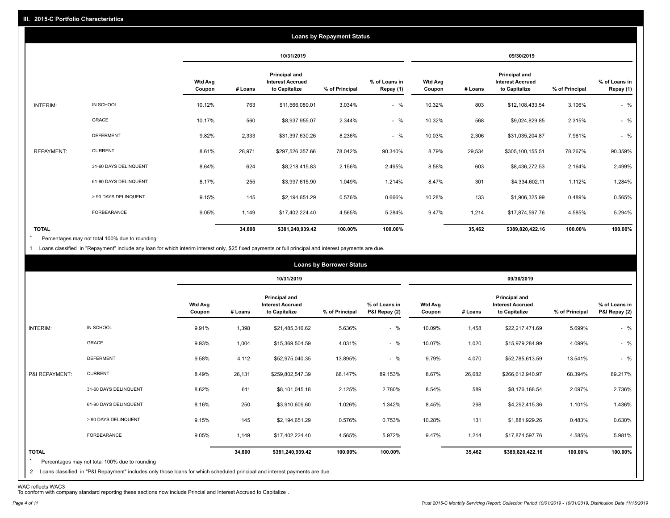|                   |                       |                          |         |                                                           | <b>Loans by Repayment Status</b> |                            |                          |         |                                                           |                |                            |
|-------------------|-----------------------|--------------------------|---------|-----------------------------------------------------------|----------------------------------|----------------------------|--------------------------|---------|-----------------------------------------------------------|----------------|----------------------------|
|                   |                       |                          |         | 10/31/2019                                                |                                  |                            |                          |         | 09/30/2019                                                |                |                            |
|                   |                       | <b>Wtd Avg</b><br>Coupon | # Loans | Principal and<br><b>Interest Accrued</b><br>to Capitalize | % of Principal                   | % of Loans in<br>Repay (1) | <b>Wtd Avg</b><br>Coupon | # Loans | Principal and<br><b>Interest Accrued</b><br>to Capitalize | % of Principal | % of Loans in<br>Repay (1) |
| INTERIM:          | IN SCHOOL             | 10.12%                   | 763     | \$11,566,089.01                                           | 3.034%                           | $-$ %                      | 10.32%                   | 803     | \$12,108,433.54                                           | 3.106%         | $-$ %                      |
|                   | GRACE                 | 10.17%                   | 560     | \$8,937,955.07                                            | 2.344%                           | $-$ %                      | 10.32%                   | 568     | \$9,024,829.85                                            | 2.315%         | $-$ %                      |
|                   | <b>DEFERMENT</b>      | 9.82%                    | 2,333   | \$31,397,630.26                                           | 8.236%                           | $-$ %                      | 10.03%                   | 2,306   | \$31,035,204.87                                           | 7.961%         | $-$ %                      |
| <b>REPAYMENT:</b> | <b>CURRENT</b>        | 8.61%                    | 28,971  | \$297,526,357.66                                          | 78.042%                          | 90.340%                    | 8.79%                    | 29,534  | \$305,100,155.51                                          | 78.267%        | 90.359%                    |
|                   | 31-60 DAYS DELINQUENT | 8.64%                    | 624     | \$8,218,415.83                                            | 2.156%                           | 2.495%                     | 8.58%                    | 603     | \$8,436,272.53                                            | 2.164%         | 2.499%                     |
|                   | 61-90 DAYS DELINQUENT | 8.17%                    | 255     | \$3,997,615.90                                            | 1.049%                           | 1.214%                     | 8.47%                    | 301     | \$4,334,602.11                                            | 1.112%         | 1.284%                     |
|                   | > 90 DAYS DELINQUENT  | 9.15%                    | 145     | \$2,194,651.29                                            | 0.576%                           | 0.666%                     | 10.28%                   | 133     | \$1,906,325.99                                            | 0.489%         | 0.565%                     |
|                   | FORBEARANCE           | 9.05%                    | 1,149   | \$17,402,224.40                                           | 4.565%                           | 5.284%                     | 9.47%                    | 1,214   | \$17,874,597.76                                           | 4.585%         | 5.294%                     |
| <b>TOTAL</b>      |                       |                          | 34,800  | \$381,240,939.42                                          | 100.00%                          | 100.00%                    |                          | 35,462  | \$389,820,422.16                                          | 100.00%        | 100.00%                    |

Percentages may not total 100% due to rounding  $\star$ 

1 Loans classified in "Repayment" include any loan for which interim interest only, \$25 fixed payments or full principal and interest payments are due.

|                         |                                                                                                                                                                                |                          |         |                                                           | <b>Loans by Borrower Status</b> |                                |                          |         |                                                                  |                |                                |
|-------------------------|--------------------------------------------------------------------------------------------------------------------------------------------------------------------------------|--------------------------|---------|-----------------------------------------------------------|---------------------------------|--------------------------------|--------------------------|---------|------------------------------------------------------------------|----------------|--------------------------------|
|                         |                                                                                                                                                                                |                          |         | 10/31/2019                                                |                                 |                                |                          |         | 09/30/2019                                                       |                |                                |
|                         |                                                                                                                                                                                | <b>Wtd Avg</b><br>Coupon | # Loans | Principal and<br><b>Interest Accrued</b><br>to Capitalize | % of Principal                  | % of Loans in<br>P&I Repay (2) | <b>Wtd Avg</b><br>Coupon | # Loans | <b>Principal and</b><br><b>Interest Accrued</b><br>to Capitalize | % of Principal | % of Loans in<br>P&I Repay (2) |
| INTERIM:                | IN SCHOOL                                                                                                                                                                      | 9.91%                    | 1,398   | \$21,485,316.62                                           | 5.636%                          | $-$ %                          | 10.09%                   | 1,458   | \$22,217,471.69                                                  | 5.699%         | $-$ %                          |
|                         | GRACE                                                                                                                                                                          | 9.93%                    | 1,004   | \$15,369,504.59                                           | 4.031%                          | $-$ %                          | 10.07%                   | 1,020   | \$15,979,284.99                                                  | 4.099%         | $-$ %                          |
|                         | <b>DEFERMENT</b>                                                                                                                                                               | 9.58%                    | 4,112   | \$52,975,040.35                                           | 13.895%                         | $-$ %                          | 9.79%                    | 4,070   | \$52,785,613.59                                                  | 13.541%        | $-$ %                          |
| P&I REPAYMENT:          | <b>CURRENT</b>                                                                                                                                                                 | 8.49%                    | 26,131  | \$259,802,547.39                                          | 68.147%                         | 89.153%                        | 8.67%                    | 26,682  | \$266,612,940.97                                                 | 68.394%        | 89.217%                        |
|                         | 31-60 DAYS DELINQUENT                                                                                                                                                          | 8.62%                    | 611     | \$8,101,045.18                                            | 2.125%                          | 2.780%                         | 8.54%                    | 589     | \$8,176,168.54                                                   | 2.097%         | 2.736%                         |
|                         | 61-90 DAYS DELINQUENT                                                                                                                                                          | 8.16%                    | 250     | \$3,910,609.60                                            | 1.026%                          | 1.342%                         | 8.45%                    | 298     | \$4,292,415.36                                                   | 1.101%         | 1.436%                         |
|                         | > 90 DAYS DELINQUENT                                                                                                                                                           | 9.15%                    | 145     | \$2,194,651.29                                            | 0.576%                          | 0.753%                         | 10.28%                   | 131     | \$1,881,929.26                                                   | 0.483%         | 0.630%                         |
|                         | <b>FORBEARANCE</b>                                                                                                                                                             | 9.05%                    | 1,149   | \$17,402,224.40                                           | 4.565%                          | 5.972%                         | 9.47%                    | 1,214   | \$17,874,597.76                                                  | 4.585%         | 5.981%                         |
| <b>TOTAL</b><br>$\star$ | Percentages may not total 100% due to rounding<br>2 Loans classified in "P&I Repayment" includes only those loans for which scheduled principal and interest payments are due. |                          | 34,800  | \$381,240,939.42                                          | 100.00%                         | 100.00%                        |                          | 35,462  | \$389,820,422.16                                                 | 100.00%        | 100.00%                        |

WAC reflects WAC3 To conform with company standard reporting these sections now include Princial and Interest Accrued to Capitalize .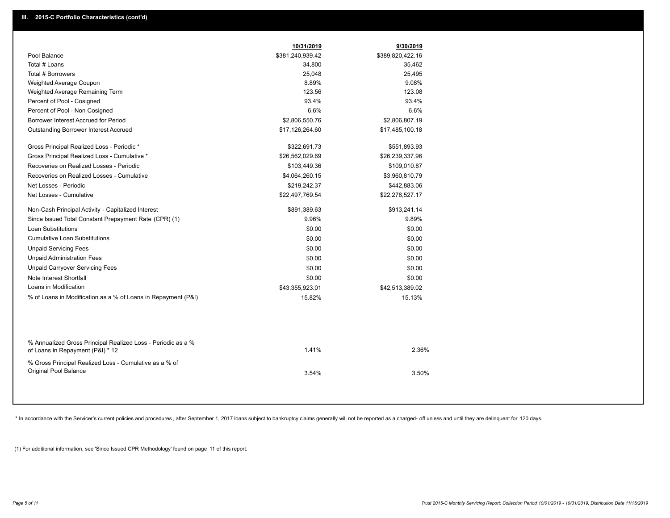|                                                                                                  | 10/31/2019       | 9/30/2019        |
|--------------------------------------------------------------------------------------------------|------------------|------------------|
| Pool Balance                                                                                     | \$381,240,939.42 | \$389,820,422.16 |
| Total # Loans                                                                                    | 34,800           | 35,462           |
| Total # Borrowers                                                                                | 25,048           | 25,495           |
| Weighted Average Coupon                                                                          | 8.89%            | 9.08%            |
| Weighted Average Remaining Term                                                                  | 123.56           | 123.08           |
| Percent of Pool - Cosigned                                                                       | 93.4%            | 93.4%            |
| Percent of Pool - Non Cosigned                                                                   | 6.6%             | 6.6%             |
| Borrower Interest Accrued for Period                                                             | \$2,806,550.76   | \$2,806,807.19   |
| Outstanding Borrower Interest Accrued                                                            | \$17,126,264.60  | \$17,485,100.18  |
| Gross Principal Realized Loss - Periodic *                                                       | \$322,691.73     | \$551,893.93     |
| Gross Principal Realized Loss - Cumulative *                                                     | \$26,562,029.69  | \$26,239,337.96  |
| Recoveries on Realized Losses - Periodic                                                         | \$103,449.36     | \$109,010.87     |
| Recoveries on Realized Losses - Cumulative                                                       | \$4,064,260.15   | \$3,960,810.79   |
| Net Losses - Periodic                                                                            | \$219,242.37     | \$442,883.06     |
| Net Losses - Cumulative                                                                          | \$22,497,769.54  | \$22,278,527.17  |
| Non-Cash Principal Activity - Capitalized Interest                                               | \$891,389.63     | \$913,241.14     |
| Since Issued Total Constant Prepayment Rate (CPR) (1)                                            | 9.96%            | 9.89%            |
| <b>Loan Substitutions</b>                                                                        | \$0.00           | \$0.00           |
| <b>Cumulative Loan Substitutions</b>                                                             | \$0.00           | \$0.00           |
| <b>Unpaid Servicing Fees</b>                                                                     | \$0.00           | \$0.00           |
| <b>Unpaid Administration Fees</b>                                                                | \$0.00           | \$0.00           |
| <b>Unpaid Carryover Servicing Fees</b>                                                           | \$0.00           | \$0.00           |
| Note Interest Shortfall                                                                          | \$0.00           | \$0.00           |
| Loans in Modification                                                                            | \$43,355,923.01  | \$42,513,389.02  |
| % of Loans in Modification as a % of Loans in Repayment (P&I)                                    | 15.82%           | 15.13%           |
|                                                                                                  |                  |                  |
| % Annualized Gross Principal Realized Loss - Periodic as a %<br>of Loans in Repayment (P&I) * 12 | 1.41%            | 2.36%            |
| % Gross Principal Realized Loss - Cumulative as a % of<br>Original Pool Balance                  | 3.54%            | 3.50%            |
|                                                                                                  |                  |                  |

\* In accordance with the Servicer's current policies and procedures, after September 1, 2017 loans subject to bankruptcy claims generally will not be reported as a charged- off unless and until they are delinquent for 120

(1) For additional information, see 'Since Issued CPR Methodology' found on page 11 of this report.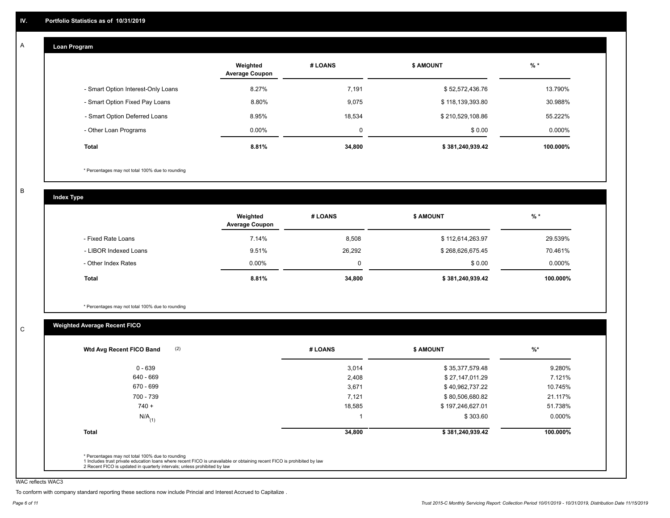#### **Loan Program**  A

|                                    | Weighted<br><b>Average Coupon</b> | # LOANS     | <b>\$ AMOUNT</b> | $%$ *    |
|------------------------------------|-----------------------------------|-------------|------------------|----------|
| - Smart Option Interest-Only Loans | 8.27%                             | 7,191       | \$52,572,436.76  | 13.790%  |
| - Smart Option Fixed Pay Loans     | 8.80%                             | 9,075       | \$118,139,393.80 | 30.988%  |
| - Smart Option Deferred Loans      | 8.95%                             | 18,534      | \$210,529,108.86 | 55.222%  |
| - Other Loan Programs              | $0.00\%$                          | $\mathbf 0$ | \$0.00           | 0.000%   |
| <b>Total</b>                       | 8.81%                             | 34,800      | \$381,240,939.42 | 100.000% |

\* Percentages may not total 100% due to rounding

B

C

**Index Type**

|                       | Weighted<br><b>Average Coupon</b> | # LOANS  | <b>\$ AMOUNT</b> | $%$ *    |
|-----------------------|-----------------------------------|----------|------------------|----------|
| - Fixed Rate Loans    | 7.14%                             | 8,508    | \$112,614,263.97 | 29.539%  |
| - LIBOR Indexed Loans | 9.51%                             | 26,292   | \$268,626,675.45 | 70.461%  |
| - Other Index Rates   | $0.00\%$                          | $\Omega$ | \$0.00           | 0.000%   |
| Total                 | 8.81%                             | 34,800   | \$381,240,939.42 | 100.000% |

\* Percentages may not total 100% due to rounding

# **Weighted Average Recent FICO**

| 3,014<br>2,408 | \$35,377,579.48<br>\$27,147,011.29 | 9.280%    |
|----------------|------------------------------------|-----------|
|                |                                    |           |
|                |                                    | 7.121%    |
| 3,671          | \$40,962,737.22                    | 10.745%   |
| 7,121          | \$80,506,680.82                    | 21.117%   |
| 18,585         | \$197,246,627.01                   | 51.738%   |
|                | \$303.60                           | $0.000\%$ |
| 34,800         | \$381,240,939.42                   | 100.000%  |
|                |                                    |           |

WAC reflects WAC3

To conform with company standard reporting these sections now include Princial and Interest Accrued to Capitalize .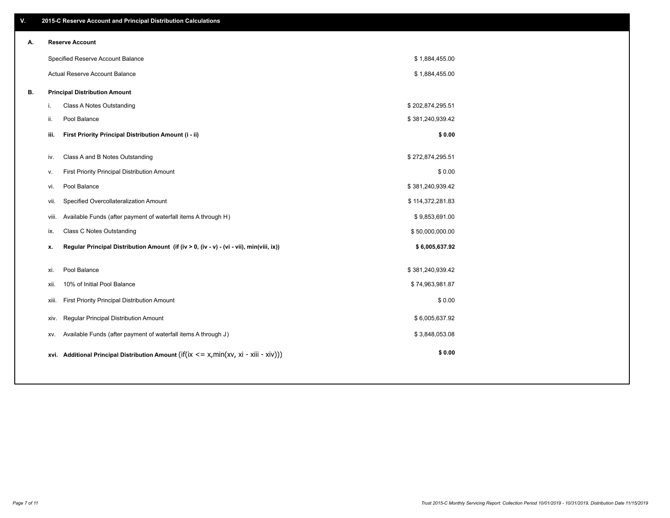| V. |     | 2015-C Reserve Account and Principal Distribution Calculations                                 |                  |  |
|----|-----|------------------------------------------------------------------------------------------------|------------------|--|
| А. |     | <b>Reserve Account</b>                                                                         |                  |  |
|    |     | Specified Reserve Account Balance                                                              | \$1,884,455.00   |  |
|    |     | Actual Reserve Account Balance                                                                 | \$1,884,455.00   |  |
| В. |     | <b>Principal Distribution Amount</b>                                                           |                  |  |
|    | i.  | Class A Notes Outstanding                                                                      | \$202,874,295.51 |  |
|    | ji. | Pool Balance                                                                                   | \$381,240,939.42 |  |
|    |     | First Priority Principal Distribution Amount (i - ii)<br>iii.                                  | \$0.00           |  |
|    |     | Class A and B Notes Outstanding<br>iv.                                                         | \$272,874,295.51 |  |
|    | v.  | First Priority Principal Distribution Amount                                                   | \$0.00           |  |
|    |     | Pool Balance<br>vi.                                                                            | \$381,240,939.42 |  |
|    |     | Specified Overcollateralization Amount<br>vii.                                                 | \$114,372,281.83 |  |
|    |     | Available Funds (after payment of waterfall items A through H)<br>viii.                        | \$9,853,691.00   |  |
|    |     | <b>Class C Notes Outstanding</b><br>ix.                                                        | \$50,000,000.00  |  |
|    |     | Regular Principal Distribution Amount (if (iv > 0, (iv - v) - (vi - vii), min(viii, ix))<br>х. | \$6,005,637.92   |  |
|    |     |                                                                                                |                  |  |
|    |     | Pool Balance<br>xi.                                                                            | \$381,240,939.42 |  |
|    |     | 10% of Initial Pool Balance<br>xii.                                                            | \$74,963,981.87  |  |
|    |     | First Priority Principal Distribution Amount<br>xiii.                                          | \$0.00           |  |
|    |     | Regular Principal Distribution Amount<br>XIV.                                                  | \$6,005,637.92   |  |
|    |     | Available Funds (after payment of waterfall items A through J)<br>XV.                          | \$3,848,053.08   |  |
|    |     | xvi. Additional Principal Distribution Amount (if(ix $\lt$ = x, min(xv, xi - xiii - xiv)))     | \$0.00           |  |
|    |     |                                                                                                |                  |  |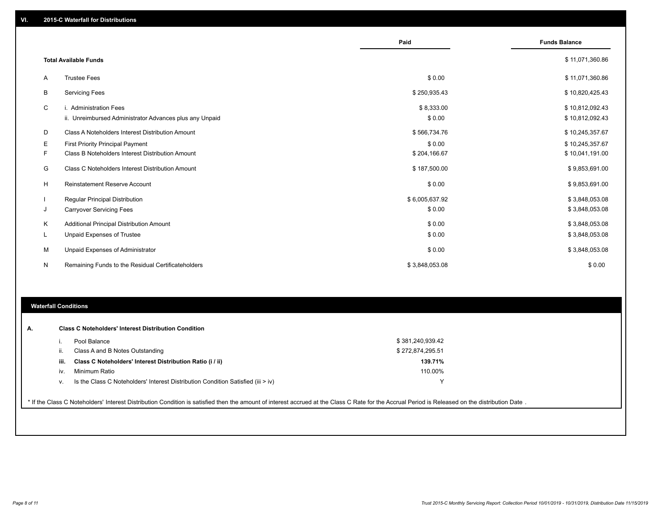|    |                                                         | Paid           | <b>Funds Balance</b> |
|----|---------------------------------------------------------|----------------|----------------------|
|    |                                                         |                |                      |
|    | <b>Total Available Funds</b>                            |                | \$11,071,360.86      |
| Α  | <b>Trustee Fees</b>                                     | \$0.00         | \$11,071,360.86      |
| В  | <b>Servicing Fees</b>                                   | \$250,935.43   | \$10,820,425.43      |
| C  | i. Administration Fees                                  | \$8,333.00     | \$10,812,092.43      |
|    | ii. Unreimbursed Administrator Advances plus any Unpaid | \$0.00         | \$10,812,092.43      |
| D  | Class A Noteholders Interest Distribution Amount        | \$566,734.76   | \$10,245,357.67      |
| Е  | First Priority Principal Payment                        | \$0.00         | \$10,245,357.67      |
| F. | Class B Noteholders Interest Distribution Amount        | \$204,166.67   | \$10,041,191.00      |
| G  | <b>Class C Noteholders Interest Distribution Amount</b> | \$187,500.00   | \$9,853,691.00       |
| н  | <b>Reinstatement Reserve Account</b>                    | \$0.00         | \$9,853,691.00       |
|    | Regular Principal Distribution                          | \$6,005,637.92 | \$3,848,053.08       |
| J  | <b>Carryover Servicing Fees</b>                         | \$0.00         | \$3,848,053.08       |
| Κ  | Additional Principal Distribution Amount                | \$0.00         | \$3,848,053.08       |
| L  | Unpaid Expenses of Trustee                              | \$0.00         | \$3,848,053.08       |
| м  | Unpaid Expenses of Administrator                        | \$0.00         | \$3,848,053.08       |
| N  | Remaining Funds to the Residual Certificateholders      | \$3,848,053.08 | \$0.00               |

#### **Waterfall Conditions**

|      | Pool Balance                                                                       | \$381,240,939.42 |  |
|------|------------------------------------------------------------------------------------|------------------|--|
|      | Class A and B Notes Outstanding                                                    | \$272,874,295.51 |  |
| iii. | Class C Noteholders' Interest Distribution Ratio (i / ii)                          | 139.71%          |  |
| iv.  | Minimum Ratio                                                                      | 110.00%          |  |
| V.   | Is the Class C Noteholders' Interest Distribution Condition Satisfied (iii $>$ iv) |                  |  |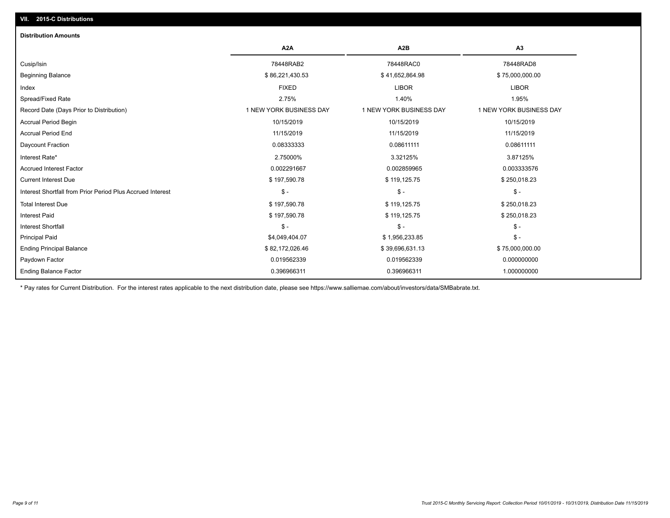## **VII. 2015-C Distributions**

| <b>Distribution Amounts</b>                                |                         |                         |                         |
|------------------------------------------------------------|-------------------------|-------------------------|-------------------------|
|                                                            | A <sub>2</sub> A        | A <sub>2</sub> B        | A <sub>3</sub>          |
| Cusip/Isin                                                 | 78448RAB2               | 78448RAC0               | 78448RAD8               |
| <b>Beginning Balance</b>                                   | \$86,221,430.53         | \$41,652,864.98         | \$75,000,000.00         |
| Index                                                      | <b>FIXED</b>            | <b>LIBOR</b>            | <b>LIBOR</b>            |
| Spread/Fixed Rate                                          | 2.75%                   | 1.40%                   | 1.95%                   |
| Record Date (Days Prior to Distribution)                   | 1 NEW YORK BUSINESS DAY | 1 NEW YORK BUSINESS DAY | 1 NEW YORK BUSINESS DAY |
| Accrual Period Begin                                       | 10/15/2019              | 10/15/2019              | 10/15/2019              |
| <b>Accrual Period End</b>                                  | 11/15/2019              | 11/15/2019              | 11/15/2019              |
| Daycount Fraction                                          | 0.08333333              | 0.08611111              | 0.08611111              |
| Interest Rate*                                             | 2.75000%                | 3.32125%                | 3.87125%                |
| <b>Accrued Interest Factor</b>                             | 0.002291667             | 0.002859965             | 0.003333576             |
| <b>Current Interest Due</b>                                | \$197,590.78            | \$119,125.75            | \$250,018.23            |
| Interest Shortfall from Prior Period Plus Accrued Interest | $\mathsf{\$}$ -         | $\mathsf{\$}$ -         | $\mathsf{\$}$ -         |
| <b>Total Interest Due</b>                                  | \$197,590.78            | \$119,125.75            | \$250,018.23            |
| <b>Interest Paid</b>                                       | \$197,590.78            | \$119,125.75            | \$250,018.23            |
| <b>Interest Shortfall</b>                                  | $\frac{1}{2}$           | $\mathcal{S}$ -         | $\frac{1}{2}$           |
| <b>Principal Paid</b>                                      | \$4,049,404.07          | \$1,956,233.85          | $$ -$                   |
| <b>Ending Principal Balance</b>                            | \$82,172,026.46         | \$39,696,631.13         | \$75,000,000.00         |
| Paydown Factor                                             | 0.019562339             | 0.019562339             | 0.000000000             |
| <b>Ending Balance Factor</b>                               | 0.396966311             | 0.396966311             | 1.000000000             |

\* Pay rates for Current Distribution. For the interest rates applicable to the next distribution date, please see https://www.salliemae.com/about/investors/data/SMBabrate.txt.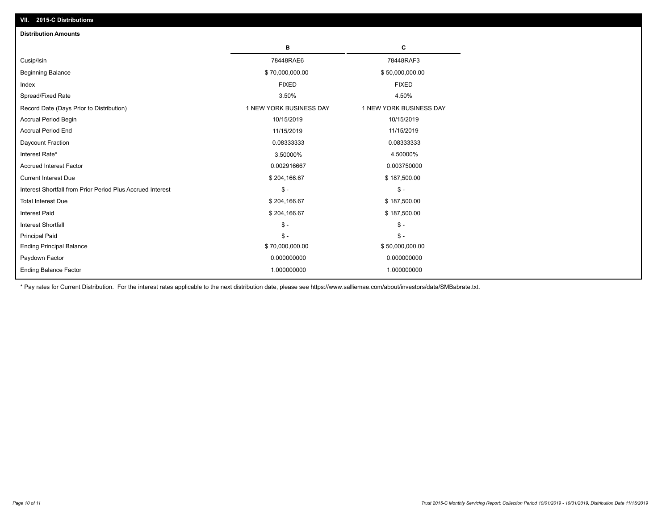| <b>Distribution Amounts</b>                                |                         |                         |
|------------------------------------------------------------|-------------------------|-------------------------|
|                                                            | в                       | C                       |
| Cusip/Isin                                                 | 78448RAE6               | 78448RAF3               |
| <b>Beginning Balance</b>                                   | \$70,000,000.00         | \$50,000,000.00         |
| Index                                                      | <b>FIXED</b>            | <b>FIXED</b>            |
| Spread/Fixed Rate                                          | 3.50%                   | 4.50%                   |
| Record Date (Days Prior to Distribution)                   | 1 NEW YORK BUSINESS DAY | 1 NEW YORK BUSINESS DAY |
| <b>Accrual Period Begin</b>                                | 10/15/2019              | 10/15/2019              |
| <b>Accrual Period End</b>                                  | 11/15/2019              | 11/15/2019              |
| Daycount Fraction                                          | 0.08333333              | 0.08333333              |
| Interest Rate*                                             | 3.50000%                | 4.50000%                |
| <b>Accrued Interest Factor</b>                             | 0.002916667             | 0.003750000             |
| <b>Current Interest Due</b>                                | \$204,166.67            | \$187,500.00            |
| Interest Shortfall from Prior Period Plus Accrued Interest | $\mathsf{\$}$ -         | $\mathsf{\$}$ -         |
| <b>Total Interest Due</b>                                  | \$204,166.67            | \$187,500.00            |
| <b>Interest Paid</b>                                       | \$204,166.67            | \$187,500.00            |
| <b>Interest Shortfall</b>                                  | $\mathsf{\$}$ -         | $\mathsf{\$}$ -         |
| <b>Principal Paid</b>                                      | $\mathsf{\$}$ -         | $\mathsf{\$}$ -         |
| <b>Ending Principal Balance</b>                            | \$70,000,000.00         | \$50,000,000.00         |
| Paydown Factor                                             | 0.000000000             | 0.000000000             |
| <b>Ending Balance Factor</b>                               | 1.000000000             | 1.000000000             |

\* Pay rates for Current Distribution. For the interest rates applicable to the next distribution date, please see https://www.salliemae.com/about/investors/data/SMBabrate.txt.

**VII. 2015-C Distributions**